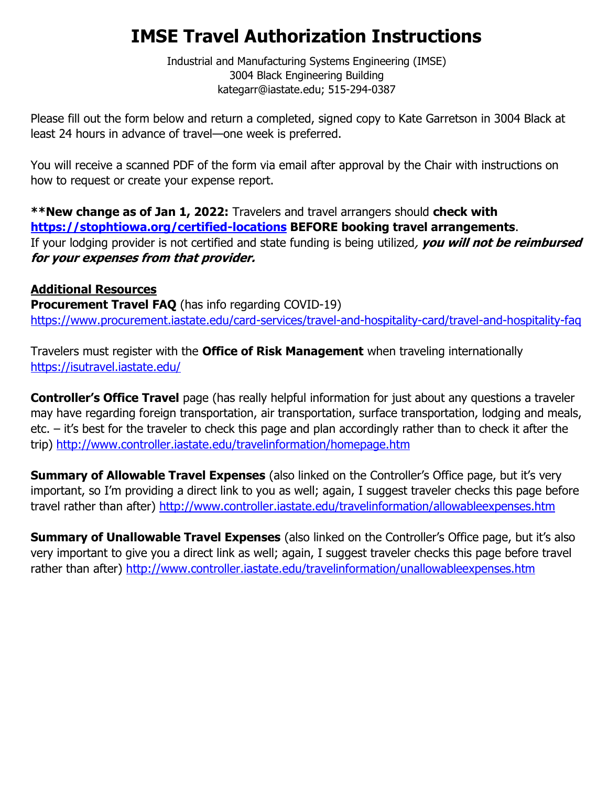## **IMSE Travel Authorization Instructions**

Industrial and Manufacturing Systems Engineering (IMSE) 3004 Black Engineering Building kategarr@iastate.edu; 515-294-0387

Please fill out the form below and return a completed, signed copy to Kate Garretson in 3004 Black at least 24 hours in advance of travel—one week is preferred.

You will receive a scanned PDF of the form via email after approval by the Chair with instructions on how to request or create your expense report.

**\*\*New change as of Jan 1, 2022:** Travelers and travel arrangers should **check with <https://stophtiowa.org/certified-locations> BEFORE booking travel arrangements**. If your lodging provider is not certified and state funding is being utilized, **you will not be reimbursed for your expenses from that provider.**

## **Additional Resources**

**Procurement Travel FAQ** (has info regarding COVID-19) <https://www.procurement.iastate.edu/card-services/travel-and-hospitality-card/travel-and-hospitality-faq>

Travelers must register with the **Office of Risk Management** when traveling internationally <https://isutravel.iastate.edu/>

**Controller's Office Travel** page (has really helpful information for just about any questions a traveler may have regarding foreign transportation, air transportation, surface transportation, lodging and meals, etc. – it's best for the traveler to check this page and plan accordingly rather than to check it after the trip)<http://www.controller.iastate.edu/travelinformation/homepage.htm>

**Summary of Allowable Travel Expenses** (also linked on the Controller's Office page, but it's very important, so I'm providing a direct link to you as well; again, I suggest traveler checks this page before travel rather than after)<http://www.controller.iastate.edu/travelinformation/allowableexpenses.htm>

**Summary of Unallowable Travel Expenses** (also linked on the Controller's Office page, but it's also very important to give you a direct link as well; again, I suggest traveler checks this page before travel rather than after)<http://www.controller.iastate.edu/travelinformation/unallowableexpenses.htm>